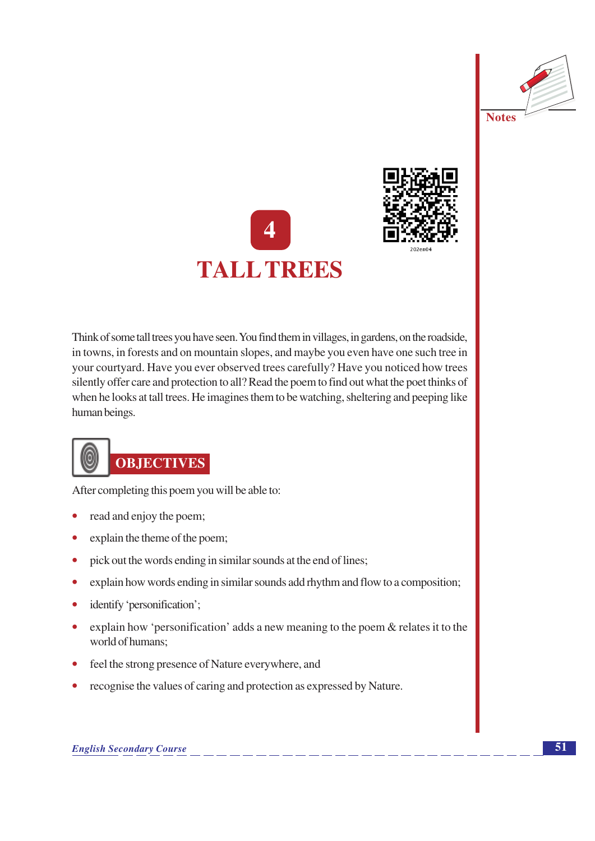





Think of some tall trees you have seen. You find them in villages, in gardens, on the roadside, in towns, in forests and on mountain slopes, and maybe you even have one such tree in your courtyard. Have you ever observed trees carefully? Have you noticed how trees silently offer care and protection to all? Read the poem to find out what the poet thinks of when he looks at tall trees. He imagines them to be watching, sheltering and peeping like human beings.



# **OBJECTIVES**

After completing this poem you will be able to:

- read and enjoy the poem;
- explain the theme of the poem;
- pick out the words ending in similar sounds at the end of lines;  $\bullet$
- explain how words ending in similar sounds add rhythm and flow to a composition;  $\bullet$
- identify 'personification';  $\bullet$
- explain how 'personification' adds a new meaning to the poem  $\&$  relates it to the world of humans:
- feel the strong presence of Nature everywhere, and
- recognise the values of caring and protection as expressed by Nature.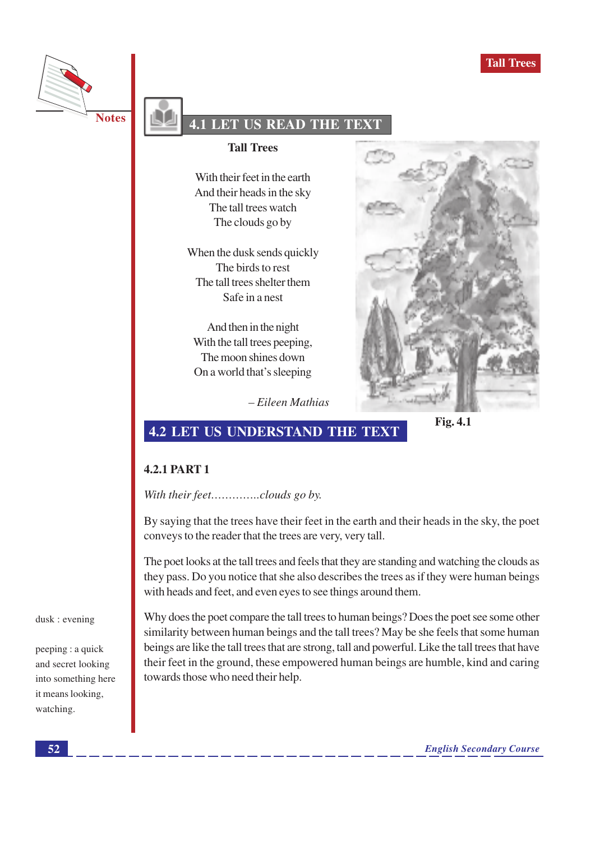



### **LET US READ THE TE!**

#### **Tall Trees**

With their feet in the earth And their heads in the sky The tall trees watch The clouds go by

When the dusk sends quickly The birds to rest The tall trees shelter them Safe in a nest

And then in the night With the tall trees peeping, The moon shines down On a world that's sleeping



 $-Eileen Mathias$ 

Fig. 4.1

## **4.2 LET US UNDERSTAND THE TEXT**

#### **4.2.1 PART 1**

With their feet...............clouds go by.

By saying that the trees have their feet in the earth and their heads in the sky, the poet conveys to the reader that the trees are very, very tall.

The poet looks at the tall trees and feels that they are standing and watching the clouds as they pass. Do you notice that she also describes the trees as if they were human beings with heads and feet, and even eyes to see things around them.

dusk : evening

peeping : a quick and secret looking into something here it means looking, watching.

Why does the poet compare the tall trees to human beings? Does the poet see some other similarity between human beings and the tall trees? May be she feels that some human beings are like the tall trees that are strong, tall and powerful. Like the tall trees that have their feet in the ground, these empowered human beings are humble, kind and caring towards those who need their help.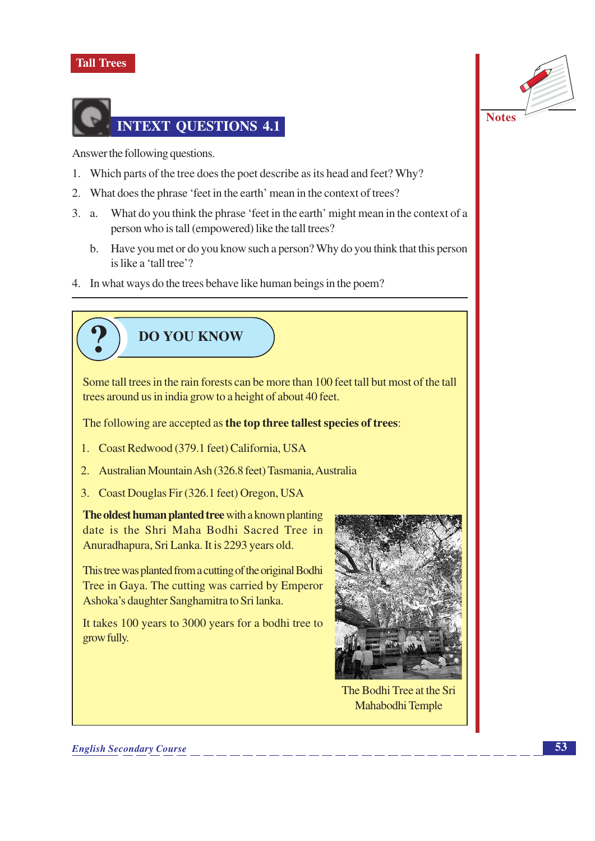### **Tall Trees**



Answer the following questions.

- 1. Which parts of the tree does the poet describe as its head and feet? Why?
- 2. What does the phrase 'feet in the earth' mean in the context of trees?
- 3. a. What do you think the phrase 'feet in the earth' might mean in the context of a person who is tall (empowered) like the tall trees?
	- b. Have you met or do you know such a person? Why do you think that this person is like a 'tall tree'?
- 4. In what ways do the trees behave like human beings in the poem?



Some tall trees in the rain forests can be more than 100 feet tall but most of the tall trees around us in india grow to a height of about 40 feet.

The following are accepted as the top three tallest species of trees:

- 1. Coast Redwood (379.1 feet) California, USA
- 2. Australian Mountain Ash (326.8 feet) Tasmania, Australia
- 3. Coast Douglas Fir (326.1 feet) Oregon, USA

The oldest human planted tree with a known planting date is the Shri Maha Bodhi Sacred Tree in Anuradhapura, Sri Lanka. It is 2293 years old.

This tree was planted from a cutting of the original Bodhi Tree in Gaya. The cutting was carried by Emperor Ashoka's daughter Sanghamitra to Sri lanka.

It takes 100 years to 3000 years for a bodhi tree to grow fully.



The Bodhi Tree at the Sri Mahabodhi Temple



**Notes**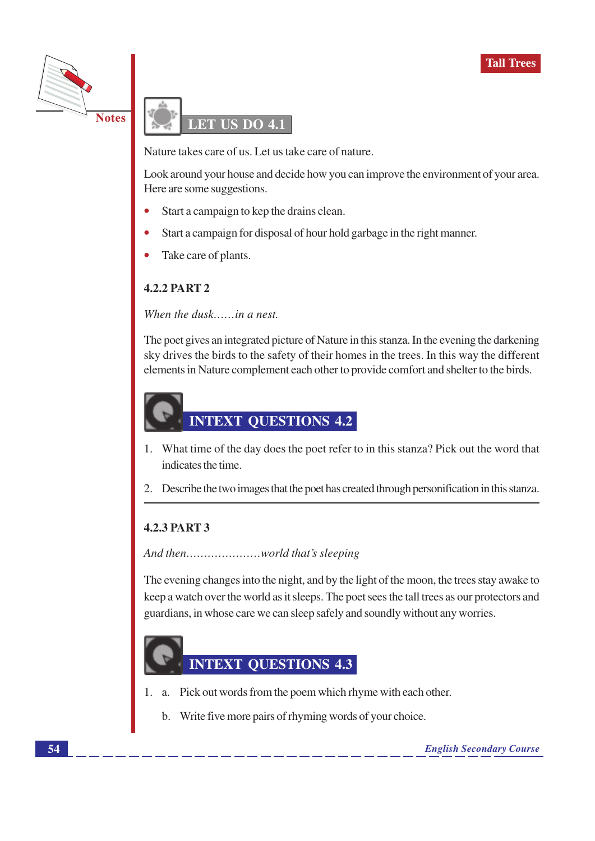



Nature takes care of us. Let us take care of nature.

Look around your house and decide how you can improve the environment of your area. Here are some suggestions.

- Start a campaign to kep the drains clean.
- Start a campaign for disposal of hour hold garbage in the right manner.
- Take care of plants.

### **4.2.2 PART 2**

When the dusk......in a nest.

The poet gives an integrated picture of Nature in this stanza. In the evening the darkening sky drives the birds to the safety of their homes in the trees. In this way the different elements in Nature complement each other to provide comfort and shelter to the birds.

# **INTEXT QUESTIONS 4.2**

- 1. What time of the day does the poet refer to in this stanza? Pick out the word that indicates the time.
- 2. Describe the two images that the poet has created through personification in this stanza.

### **4.2.3 PART 3**

The evening changes into the night, and by the light of the moon, the trees stay awake to keep a watch over the world as it sleeps. The poet sees the tall trees as our protectors and guardians, in whose care we can sleep safely and soundly without any worries.



- 1. a. Pick out words from the poem which rhyme with each other.
	- b. Write five more pairs of rhyming words of your choice.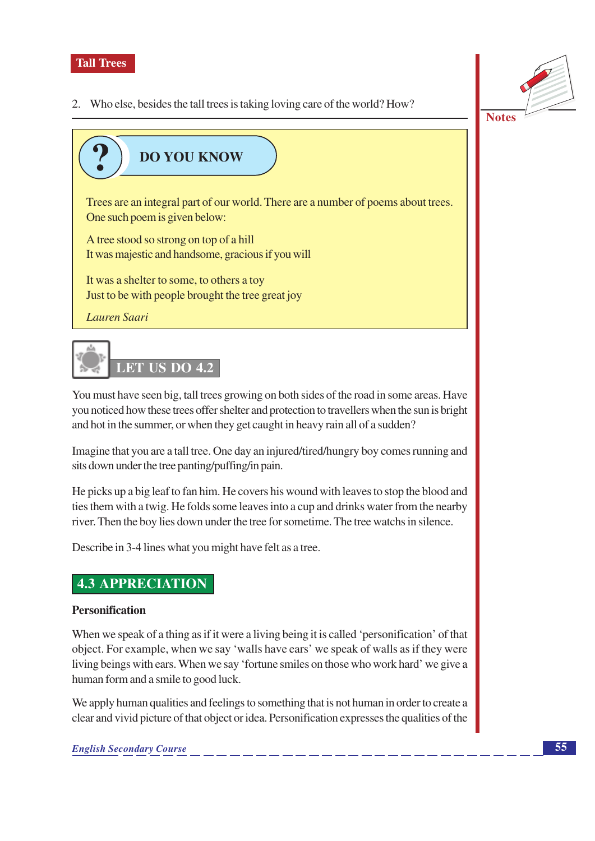

2. Who else, besides the tall trees is taking loving care of the world? How?



# **DO YOU KNOW**

Trees are an integral part of our world. There are a number of poems about trees. One such poem is given below:

A tree stood so strong on top of a hill It was majestic and handsome, gracious if you will

It was a shelter to some, to others a toy Just to be with people brought the tree great joy

Lauren Saari

# **LET US DO 4.2**

You must have seen big, tall trees growing on both sides of the road in some areas. Have you noticed how these trees offer shelter and protection to travellers when the sun is bright and hot in the summer, or when they get caught in heavy rain all of a sudden?

Imagine that you are a tall tree. One day an injured/tired/hungry boy comes running and sits down under the tree panting/puffing/in pain.

He picks up a big leaf to fan him. He covers his wound with leaves to stop the blood and ties them with a twig. He folds some leaves into a cup and drinks water from the nearby river. Then the boy lies down under the tree for sometime. The tree watchs in silence.

Describe in 3-4 lines what you might have felt as a tree.

### **4.3 APPRECIATION**

### **Personification**

When we speak of a thing as if it were a living being it is called 'personification' of that object. For example, when we say 'walls have ears' we speak of walls as if they were living beings with ears. When we say 'fortune smiles on those who work hard' we give a human form and a smile to good luck.

We apply human qualities and feelings to something that is not human in order to create a clear and vivid picture of that object or idea. Personification expresses the qualities of the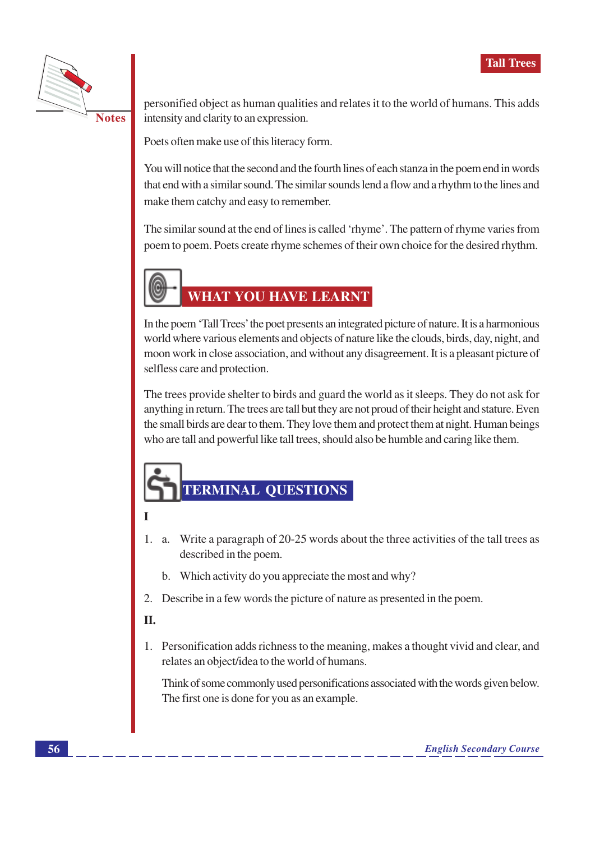

**Notes** 

personified object as human qualities and relates it to the world of humans. This adds intensity and clarity to an expression.

Poets often make use of this literacy form.

You will notice that the second and the fourth lines of each stanza in the poem end in words that end with a similar sound. The similar sounds lend a flow and a rhythm to the lines and make them catchy and easy to remember.

The similar sound at the end of lines is called 'rhyme'. The pattern of rhyme varies from poem to poem. Poets create rhyme schemes of their own choice for the desired rhythm.



## **WHAT YOU HAVE LEARNT**

In the poem 'Tall Trees' the poet presents an integrated picture of nature. It is a harmonious world where various elements and objects of nature like the clouds, birds, day, night, and moon work in close association, and without any disagreement. It is a pleasant picture of selfless care and protection.

The trees provide shelter to birds and guard the world as it sleeps. They do not ask for anything in return. The trees are tall but they are not proud of their height and stature. Even the small birds are dear to them. They love them and protect them at night. Human beings who are tall and powerful like tall trees, should also be humble and caring like them.

# **TERMINAL QUESTIONS**

### T

- 1. a. Write a paragraph of 20-25 words about the three activities of the tall trees as described in the poem.
	- b. Which activity do you appreciate the most and why?
- 2. Describe in a few words the picture of nature as presented in the poem.

### **II.**

1. Personification adds richness to the meaning, makes a thought vivid and clear, and relates an object/idea to the world of humans.

Think of some commonly used personifications associated with the words given below. The first one is done for you as an example.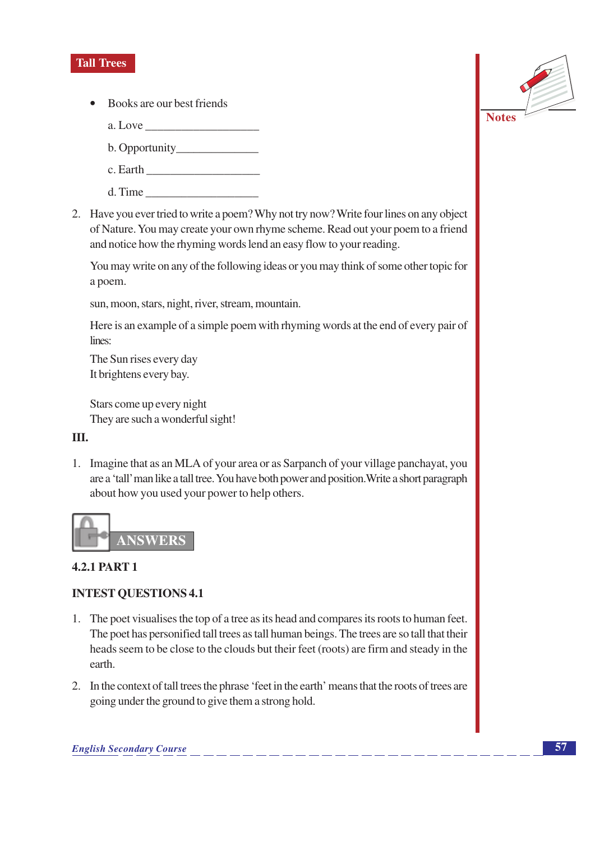### **Tall Trees**

- Books are our best friends
	- a. Love
	-
	- c. Earth
	- d. Time
- 2. Have you ever tried to write a poem? Why not try now? Write four lines on any object of Nature. You may create your own rhyme scheme. Read out your poem to a friend and notice how the rhyming words lend an easy flow to your reading.

You may write on any of the following ideas or you may think of some other topic for a poem.

sun, moon, stars, night, river, stream, mountain.

Here is an example of a simple poem with rhyming words at the end of every pair of lines:

The Sun rises every day It brightens every bay.

Stars come up every night They are such a wonderful sight!

### III.

1. Imagine that as an MLA of your area or as Sarpanch of your village panchayat, you are a 'tall' man like a tall tree. You have both power and position. Write a short paragraph about how you used your power to help others.



### **4.2.1 PART 1**

### **INTEST QUESTIONS 4.1**

- 1. The poet visualises the top of a tree as its head and compares its roots to human feet. The poet has personified tall trees as tall human beings. The trees are so tall that their heads seem to be close to the clouds but their feet (roots) are firm and steady in the earth.
- 2. In the context of tall trees the phrase 'feet in the earth' means that the roots of trees are going under the ground to give them a strong hold.

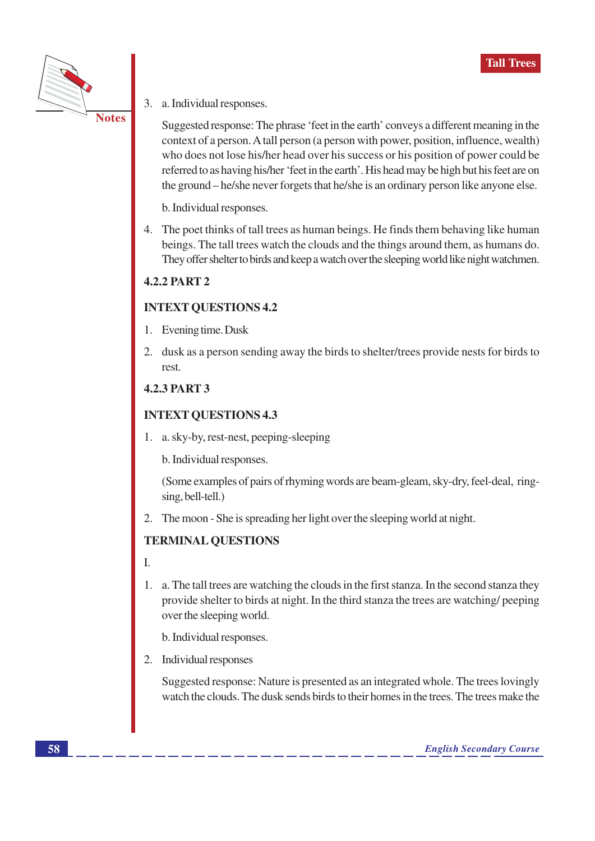

 $3.$ a. Individual responses.

> Suggested response: The phrase 'feet in the earth' conveys a different meaning in the context of a person. A tall person (a person with power, position, influence, wealth) who does not lose his/her head over his success or his position of power could be referred to as having his/her 'feet in the earth'. His head may be high but his feet are on the ground – he/she never forgets that he/she is an ordinary person like anyone else.

b. Individual responses.

4. The poet thinks of tall trees as human beings. He finds them behaving like human beings. The tall trees watch the clouds and the things around them, as humans do. They offer shelter to birds and keep a watch over the sleeping world like night watchmen.

### **4.2.2 PART 2**

### **INTEXT QUESTIONS 4.2**

- 1. Evening time. Dusk
- 2. dusk as a person sending away the birds to shelter/trees provide nests for birds to rest.

### **4.2.3 PART 3**

### **INTEXT QUESTIONS 4.3**

1. a. sky-by, rest-nest, peeping-sleeping

b. Individual responses.

(Some examples of pairs of rhyming words are beam-gleam, sky-dry, feel-deal, ringsing, bell-tell.)

2. The moon - She is spreading her light over the sleeping world at night.

### **TERMINAL QUESTIONS**

I.

1. a. The tall trees are watching the clouds in the first stanza. In the second stanza they provide shelter to birds at night. In the third stanza the trees are watching peeping over the sleeping world.

b. Individual responses.

2. Individual responses

Suggested response: Nature is presented as an integrated whole. The trees lovingly watch the clouds. The dusk sends birds to their homes in the trees. The trees make the